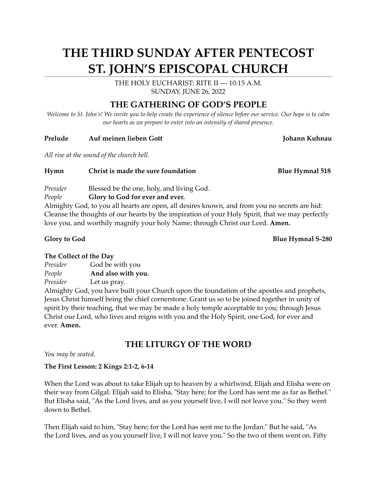# **THE THIRD SUNDAY AFTER PENTECOST ST. JOHN'S EPISCOPAL CHURCH**

THE HOLY EUCHARIST: RITE II — 10:15 A.M. SUNDAY, JUNE 26, 2022

## **THE GATHERING OF GOD'S PEOPLE**

*Welcome to St. John's! We invite you to help create the experience of silence before our service. Our hope is to calm our hearts as we prepare to enter into an intensity of shared presence.*

#### Prelude Auf meinen lieben Gott **Gott** Johann Kuhnau

*All rise at the sound of the church bell.* 

#### **Hymn Christ is made the sure foundation Blue Hymnal 518**

*Presider* Blessed be the one, holy, and living God.

*People* **Glory to God for ever and ever.**

Almighty God, to you all hearts are open, all desires known, and from you no secrets are hid: Cleanse the thoughts of our hearts by the inspiration of your Holy Spirit, that we may perfectly love you, and worthily magnify your holy Name; through Christ our Lord. **Amen.**

**Glory to God** Blue Hymnal S-280

### **The Collect of the Day**

*Presider* **God be with you** *People* **And also with you.**  *Presider* Let us pray.

Almighty God, you have built your Church upon the foundation of the apostles and prophets, Jesus Christ himself being the chief cornerstone: Grant us so to be joined together in unity of spirit by their teaching, that we may be made a holy temple acceptable to you; through Jesus Christ our Lord, who lives and reigns with you and the Holy Spirit, one God, for ever and ever. **Amen.**

**THE LITURGY OF THE WORD**

*You may be seated.* 

#### **The First Lesson: 2 Kings 2:1-2, 6-14**

When the Lord was about to take Elijah up to heaven by a whirlwind, Elijah and Elisha were on their way from Gilgal. Elijah said to Elisha, "Stay here; for the Lord has sent me as far as Bethel." But Elisha said, "As the Lord lives, and as you yourself live, I will not leave you." So they went down to Bethel.

Then Elijah said to him, "Stay here; for the Lord has sent me to the Jordan." But he said, "As the Lord lives, and as you yourself live, I will not leave you." So the two of them went on. Fifty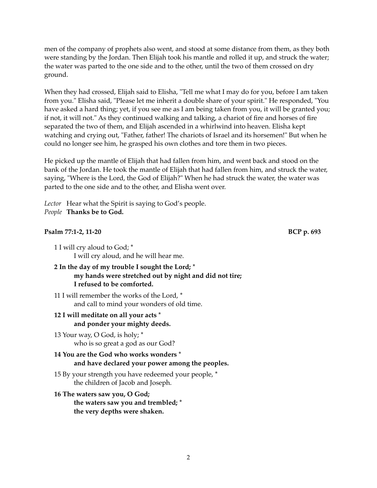men of the company of prophets also went, and stood at some distance from them, as they both were standing by the Jordan. Then Elijah took his mantle and rolled it up, and struck the water; the water was parted to the one side and to the other, until the two of them crossed on dry ground.

When they had crossed, Elijah said to Elisha, "Tell me what I may do for you, before I am taken from you." Elisha said, "Please let me inherit a double share of your spirit." He responded, "You have asked a hard thing; yet, if you see me as I am being taken from you, it will be granted you; if not, it will not." As they continued walking and talking, a chariot of fire and horses of fire separated the two of them, and Elijah ascended in a whirlwind into heaven. Elisha kept watching and crying out, "Father, father! The chariots of Israel and its horsemen!" But when he could no longer see him, he grasped his own clothes and tore them in two pieces.

He picked up the mantle of Elijah that had fallen from him, and went back and stood on the bank of the Jordan. He took the mantle of Elijah that had fallen from him, and struck the water, saying, "Where is the Lord, the God of Elijah?" When he had struck the water, the water was parted to the one side and to the other, and Elisha went over.

*Lector* Hear what the Spirit is saying to God's people. *People* **Thanks be to God.** 

#### Psalm 77:1-2, 11-20 **BCP** p. 693

1 I will cry aloud to God; \* I will cry aloud, and he will hear me.

#### **2 In the day of my trouble I sought the Lord; \* my hands were stretched out by night and did not tire; I refused to be comforted.**

11 I will remember the works of the Lord, \* and call to mind your wonders of old time.

- **12 I will meditate on all your acts \* and ponder your mighty deeds.**
- 13 Your way, O God, is holy; \* who is so great a god as our God?

### **14 You are the God who works wonders \* and have declared your power among the peoples.**

15 By your strength you have redeemed your people, \* the children of Jacob and Joseph.

#### **16 The waters saw you, O God; the waters saw you and trembled; \* the very depths were shaken.**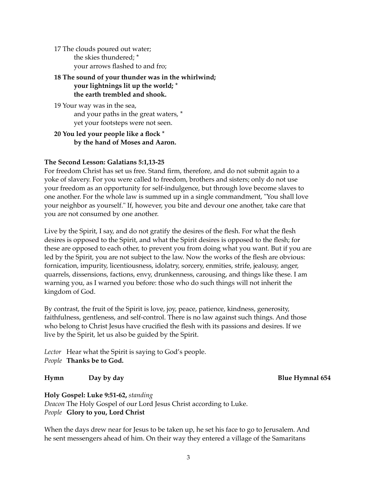17 The clouds poured out water; the skies thundered; \* your arrows flashed to and fro;

#### **18 The sound of your thunder was in the whirlwind; your lightnings lit up the world; \* the earth trembled and shook.**

- 19 Your way was in the sea, and your paths in the great waters, \* yet your footsteps were not seen.
- **20 You led your people like a flock \* by the hand of Moses and Aaron.**

#### **The Second Lesson: Galatians 5:1,13-25**

For freedom Christ has set us free. Stand firm, therefore, and do not submit again to a yoke of slavery. For you were called to freedom, brothers and sisters; only do not use your freedom as an opportunity for self-indulgence, but through love become slaves to one another. For the whole law is summed up in a single commandment, "You shall love your neighbor as yourself." If, however, you bite and devour one another, take care that you are not consumed by one another.

Live by the Spirit, I say, and do not gratify the desires of the flesh. For what the flesh desires is opposed to the Spirit, and what the Spirit desires is opposed to the flesh; for these are opposed to each other, to prevent you from doing what you want. But if you are led by the Spirit, you are not subject to the law. Now the works of the flesh are obvious: fornication, impurity, licentiousness, idolatry, sorcery, enmities, strife, jealousy, anger, quarrels, dissensions, factions, envy, drunkenness, carousing, and things like these. I am warning you, as I warned you before: those who do such things will not inherit the kingdom of God.

By contrast, the fruit of the Spirit is love, joy, peace, patience, kindness, generosity, faithfulness, gentleness, and self-control. There is no law against such things. And those who belong to Christ Jesus have crucified the flesh with its passions and desires. If we live by the Spirit, let us also be guided by the Spirit.

*Lector* Hear what the Spirit is saying to God's people. *People* **Thanks be to God.** 

**Hymn Day by day Blue Hymnal 654**

**Holy Gospel: Luke 9:51-62,** *standing Deacon* The Holy Gospel of our Lord Jesus Christ according to Luke. *People* **Glory to you, Lord Christ**

When the days drew near for Jesus to be taken up, he set his face to go to Jerusalem. And he sent messengers ahead of him. On their way they entered a village of the Samaritans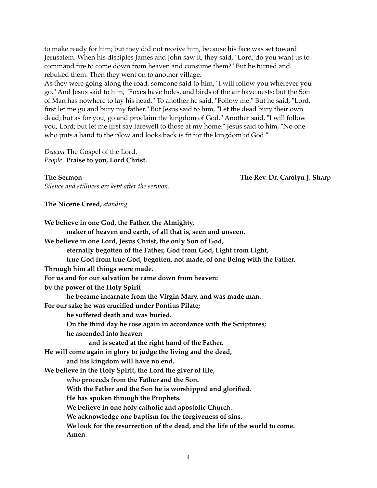to make ready for him; but they did not receive him, because his face was set toward Jerusalem. When his disciples James and John saw it, they said, "Lord, do you want us to command fire to come down from heaven and consume them?" But he turned and rebuked them. Then they went on to another village.

As they were going along the road, someone said to him, "I will follow you wherever you go." And Jesus said to him, "Foxes have holes, and birds of the air have nests; but the Son of Man has nowhere to lay his head." To another he said, "Follow me." But he said, "Lord, first let me go and bury my father." But Jesus said to him, "Let the dead bury their own dead; but as for you, go and proclaim the kingdom of God." Another said, "I will follow you, Lord; but let me first say farewell to those at my home." Jesus said to him, "No one who puts a hand to the plow and looks back is fit for the kingdom of God."

*Deacon* The Gospel of the Lord. *People* **Praise to you, Lord Christ.** 

**The Sermon The Rev. Dr. Carolyn J. Sharp**

*Silence and stillness are kept after the sermon.*

**The Nicene Creed,** *standing*

| We believe in one God, the Father, the Almighty,                             |
|------------------------------------------------------------------------------|
| maker of heaven and earth, of all that is, seen and unseen.                  |
| We believe in one Lord, Jesus Christ, the only Son of God,                   |
| eternally begotten of the Father, God from God, Light from Light,            |
| true God from true God, begotten, not made, of one Being with the Father.    |
| Through him all things were made.                                            |
| For us and for our salvation he came down from heaven:                       |
| by the power of the Holy Spirit                                              |
| he became incarnate from the Virgin Mary, and was made man.                  |
| For our sake he was crucified under Pontius Pilate;                          |
| he suffered death and was buried.                                            |
| On the third day he rose again in accordance with the Scriptures;            |
| he ascended into heaven                                                      |
| and is seated at the right hand of the Father.                               |
| He will come again in glory to judge the living and the dead,                |
| and his kingdom will have no end.                                            |
| We believe in the Holy Spirit, the Lord the giver of life,                   |
| who proceeds from the Father and the Son.                                    |
| With the Father and the Son he is worshipped and glorified.                  |
| He has spoken through the Prophets.                                          |
| We believe in one holy catholic and apostolic Church.                        |
| We acknowledge one baptism for the forgiveness of sins.                      |
| We look for the resurrection of the dead, and the life of the world to come. |
| Amen.                                                                        |
|                                                                              |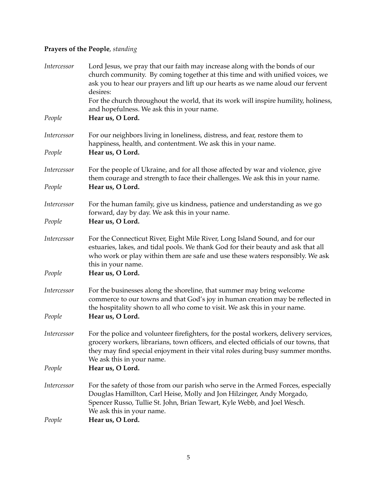# **Prayers of the People**, *standing*

| Intercessor | Lord Jesus, we pray that our faith may increase along with the bonds of our<br>church community. By coming together at this time and with unified voices, we<br>ask you to hear our prayers and lift up our hearts as we name aloud our fervent<br>desires:<br>For the church throughout the world, that its work will inspire humility, holiness,<br>and hopefulness. We ask this in your name. |  |  |  |
|-------------|--------------------------------------------------------------------------------------------------------------------------------------------------------------------------------------------------------------------------------------------------------------------------------------------------------------------------------------------------------------------------------------------------|--|--|--|
| People      | Hear us, O Lord.                                                                                                                                                                                                                                                                                                                                                                                 |  |  |  |
| Intercessor | For our neighbors living in loneliness, distress, and fear, restore them to<br>happiness, health, and contentment. We ask this in your name.                                                                                                                                                                                                                                                     |  |  |  |
| People      | Hear us, O Lord.                                                                                                                                                                                                                                                                                                                                                                                 |  |  |  |
| Intercessor | For the people of Ukraine, and for all those affected by war and violence, give<br>them courage and strength to face their challenges. We ask this in your name.                                                                                                                                                                                                                                 |  |  |  |
| People      | Hear us, O Lord.                                                                                                                                                                                                                                                                                                                                                                                 |  |  |  |
| Intercessor | For the human family, give us kindness, patience and understanding as we go<br>forward, day by day. We ask this in your name.                                                                                                                                                                                                                                                                    |  |  |  |
| People      | Hear us, O Lord.                                                                                                                                                                                                                                                                                                                                                                                 |  |  |  |
| Intercessor | For the Connecticut River, Eight Mile River, Long Island Sound, and for our<br>estuaries, lakes, and tidal pools. We thank God for their beauty and ask that all<br>who work or play within them are safe and use these waters responsibly. We ask<br>this in your name.                                                                                                                         |  |  |  |
| People      | Hear us, O Lord.                                                                                                                                                                                                                                                                                                                                                                                 |  |  |  |
| Intercessor | For the businesses along the shoreline, that summer may bring welcome<br>commerce to our towns and that God's joy in human creation may be reflected in<br>the hospitality shown to all who come to visit. We ask this in your name.                                                                                                                                                             |  |  |  |
| People      | Hear us, O Lord.                                                                                                                                                                                                                                                                                                                                                                                 |  |  |  |
| Intercessor | For the police and volunteer firefighters, for the postal workers, delivery services,<br>grocery workers, librarians, town officers, and elected officials of our towns, that<br>they may find special enjoyment in their vital roles during busy summer months.<br>We ask this in your name.                                                                                                    |  |  |  |
| People      | Hear us, O Lord.                                                                                                                                                                                                                                                                                                                                                                                 |  |  |  |
| Intercessor | For the safety of those from our parish who serve in the Armed Forces, especially<br>Douglas Hamillton, Carl Heise, Molly and Jon Hilzinger, Andy Morgado,<br>Spencer Russo, Tullie St. John, Brian Tewart, Kyle Webb, and Joel Wesch.<br>We ask this in your name.                                                                                                                              |  |  |  |
| People      | Hear us, O Lord.                                                                                                                                                                                                                                                                                                                                                                                 |  |  |  |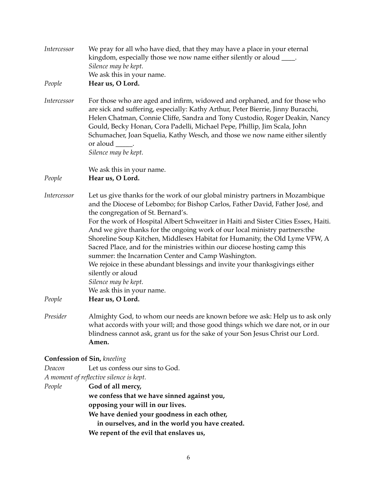| Intercessor                        | We pray for all who have died, that they may have a place in your eternal<br>kingdom, especially those we now name either silently or aloud _____.<br>Silence may be kept.<br>We ask this in your name.                                                                                                                                                                                                                                                                                                                                                                                                                                                                                                                                                |  |  |  |
|------------------------------------|--------------------------------------------------------------------------------------------------------------------------------------------------------------------------------------------------------------------------------------------------------------------------------------------------------------------------------------------------------------------------------------------------------------------------------------------------------------------------------------------------------------------------------------------------------------------------------------------------------------------------------------------------------------------------------------------------------------------------------------------------------|--|--|--|
| People                             | Hear us, O Lord.                                                                                                                                                                                                                                                                                                                                                                                                                                                                                                                                                                                                                                                                                                                                       |  |  |  |
| Intercessor                        | For those who are aged and infirm, widowed and orphaned, and for those who<br>are sick and suffering, especially: Kathy Arthur, Peter Bierrie, Jinny Buracchi,<br>Helen Chatman, Connie Cliffe, Sandra and Tony Custodio, Roger Deakin, Nancy<br>Gould, Becky Honan, Cora Padelli, Michael Pepe, Phillip, Jim Scala, John<br>Schumacher, Joan Squelia, Kathy Wesch, and those we now name either silently<br>Silence may be kept.                                                                                                                                                                                                                                                                                                                      |  |  |  |
| People                             | We ask this in your name.<br>Hear us, O Lord.                                                                                                                                                                                                                                                                                                                                                                                                                                                                                                                                                                                                                                                                                                          |  |  |  |
| Intercessor                        | Let us give thanks for the work of our global ministry partners in Mozambique<br>and the Diocese of Lebombo; for Bishop Carlos, Father David, Father José, and<br>the congregation of St. Bernard's.<br>For the work of Hospital Albert Schweitzer in Haiti and Sister Cities Essex, Haiti.<br>And we give thanks for the ongoing work of our local ministry partners: the<br>Shoreline Soup Kitchen, Middlesex Habitat for Humanity, the Old Lyme VFW, A<br>Sacred Place, and for the ministries within our diocese hosting camp this<br>summer: the Incarnation Center and Camp Washington.<br>We rejoice in these abundant blessings and invite your thanksgivings either<br>silently or aloud<br>Silence may be kept.<br>We ask this in your name. |  |  |  |
| People                             | Hear us, O Lord.                                                                                                                                                                                                                                                                                                                                                                                                                                                                                                                                                                                                                                                                                                                                       |  |  |  |
| Presider                           | Almighty God, to whom our needs are known before we ask: Help us to ask only<br>what accords with your will; and those good things which we dare not, or in our<br>blindness cannot ask, grant us for the sake of your Son Jesus Christ our Lord.<br>Amen.                                                                                                                                                                                                                                                                                                                                                                                                                                                                                             |  |  |  |
| <b>Confession of Sin, kneeling</b> |                                                                                                                                                                                                                                                                                                                                                                                                                                                                                                                                                                                                                                                                                                                                                        |  |  |  |
| Deacon                             | Let us confess our sins to God.                                                                                                                                                                                                                                                                                                                                                                                                                                                                                                                                                                                                                                                                                                                        |  |  |  |
|                                    | A moment of reflective silence is kept.                                                                                                                                                                                                                                                                                                                                                                                                                                                                                                                                                                                                                                                                                                                |  |  |  |
| People                             | God of all mercy,                                                                                                                                                                                                                                                                                                                                                                                                                                                                                                                                                                                                                                                                                                                                      |  |  |  |
|                                    | we confess that we have sinned against you,                                                                                                                                                                                                                                                                                                                                                                                                                                                                                                                                                                                                                                                                                                            |  |  |  |
|                                    | opposing your will in our lives.                                                                                                                                                                                                                                                                                                                                                                                                                                                                                                                                                                                                                                                                                                                       |  |  |  |
|                                    | We have denied your goodness in each other,                                                                                                                                                                                                                                                                                                                                                                                                                                                                                                                                                                                                                                                                                                            |  |  |  |

 **in ourselves, and in the world you have created.** 

**We repent of the evil that enslaves us,**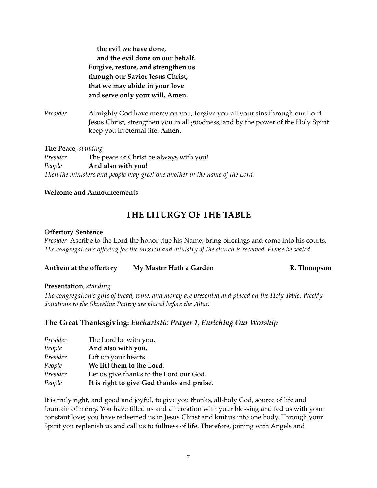**the evil we have done, and the evil done on our behalf. Forgive, restore, and strengthen us through our Savior Jesus Christ, that we may abide in your love and serve only your will. Amen.**

*Presider* Almighty God have mercy on you, forgive you all your sins through our Lord Jesus Christ, strengthen you in all goodness, and by the power of the Holy Spirit keep you in eternal life. **Amen.**

#### **The Peace***, standing*

*Presider* The peace of Christ be always with you! *People* **And also with you!** *Then the ministers and people may greet one another in the name of the Lord.* 

#### **Welcome and Announcements**

# **THE LITURGY OF THE TABLE**

#### **Offertory Sentence**

*Presider* Ascribe to the Lord the honor due his Name; bring offerings and come into his courts. *The congregation's offering for the mission and ministry of the church is received. Please be seated.* 

#### Anthem at the offertory My Master Hath a Garden **R. Thompson**

#### **Presentation***, standing*

*The congregation's gifts of bread, wine, and money are presented and placed on the Holy Table. Weekly donations to the Shoreline Pantry are placed before the Altar.*

#### **The Great Thanksgiving:** *Eucharistic Prayer 1, Enriching Our Worship*

| Presider | The Lord be with you.                      |
|----------|--------------------------------------------|
| People   | And also with you.                         |
| Presider | Lift up your hearts.                       |
| People   | We lift them to the Lord.                  |
| Presider | Let us give thanks to the Lord our God.    |
| People   | It is right to give God thanks and praise. |

It is truly right, and good and joyful, to give you thanks, all-holy God, source of life and fountain of mercy. You have filled us and all creation with your blessing and fed us with your constant love; you have redeemed us in Jesus Christ and knit us into one body. Through your Spirit you replenish us and call us to fullness of life. Therefore, joining with Angels and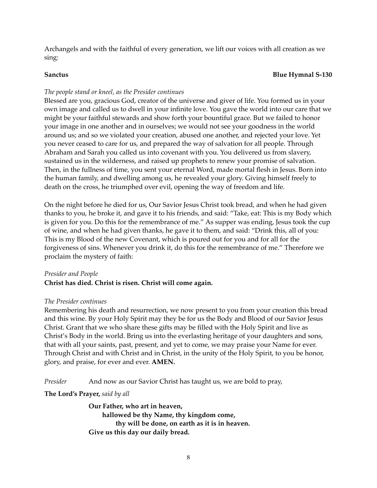Archangels and with the faithful of every generation, we lift our voices with all creation as we sing:

#### **Sanctus Blue Hymnal S-130**

#### *The people stand or kneel, as the Presider continues*

Blessed are you, gracious God, creator of the universe and giver of life. You formed us in your own image and called us to dwell in your infinite love. You gave the world into our care that we might be your faithful stewards and show forth your bountiful grace. But we failed to honor your image in one another and in ourselves; we would not see your goodness in the world around us; and so we violated your creation, abused one another, and rejected your love. Yet you never ceased to care for us, and prepared the way of salvation for all people. Through Abraham and Sarah you called us into covenant with you. You delivered us from slavery, sustained us in the wilderness, and raised up prophets to renew your promise of salvation. Then, in the fullness of time, you sent your eternal Word, made mortal flesh in Jesus. Born into the human family, and dwelling among us, he revealed your glory. Giving himself freely to death on the cross, he triumphed over evil, opening the way of freedom and life.

On the night before he died for us, Our Savior Jesus Christ took bread, and when he had given thanks to you, he broke it, and gave it to his friends, and said: "Take, eat: This is my Body which is given for you. Do this for the remembrance of me." As supper was ending, Jesus took the cup of wine, and when he had given thanks, he gave it to them, and said: "Drink this, all of you: This is my Blood of the new Covenant, which is poured out for you and for all for the forgiveness of sins. Whenever you drink it, do this for the remembrance of me." Therefore we proclaim the mystery of faith:

#### *Presider and People*

#### **Christ has died. Christ is risen. Christ will come again.**

#### *The Presider continues*

Remembering his death and resurrection, we now present to you from your creation this bread and this wine. By your Holy Spirit may they be for us the Body and Blood of our Savior Jesus Christ. Grant that we who share these gifts may be filled with the Holy Spirit and live as Christ's Body in the world. Bring us into the everlasting heritage of your daughters and sons, that with all your saints, past, present, and yet to come, we may praise your Name for ever. Through Christ and with Christ and in Christ, in the unity of the Holy Spirit, to you be honor, glory, and praise, for ever and ever. **AMEN.**

*Presider* And now as our Savior Christ has taught us, we are bold to pray,

**The Lord's Prayer,** *said by all*

**Our Father, who art in heaven, hallowed be thy Name, thy kingdom come, thy will be done, on earth as it is in heaven. Give us this day our daily bread.**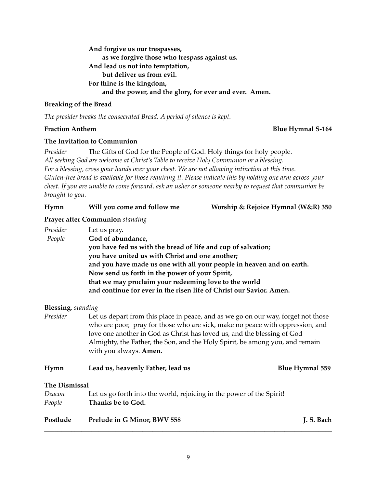**And forgive us our trespasses, as we forgive those who trespass against us. And lead us not into temptation, but deliver us from evil. For thine is the kingdom, and the power, and the glory, for ever and ever. Amen.**

#### **Breaking of the Bread**

*The presider breaks the consecrated Bread. A period of silence is kept.*

**Fraction Anthem Blue Hymnal S-164** 

#### **The Invitation to Communion**

*Presider* The Gifts of God for the People of God. Holy things for holy people. *All seeking God are welcome at Christ's Table to receive Holy Communion or a blessing. For a blessing, cross your hands over your chest. We are not allowing intinction at this time. Gluten-free bread is available for those requiring it. Please indicate this by holding one arm across your chest. If you are unable to come forward, ask an usher or someone nearby to request that communion be brought to you.*

#### **Hymn Will you come and follow me Worship & Rejoice Hymnal (W&R) 350**

#### **Prayer after Communion** *standing*

| Presider                   | Let us pray.                                                                                                                                                                                                                                  |                        |  |  |  |
|----------------------------|-----------------------------------------------------------------------------------------------------------------------------------------------------------------------------------------------------------------------------------------------|------------------------|--|--|--|
| People                     | God of abundance,                                                                                                                                                                                                                             |                        |  |  |  |
|                            | you have fed us with the bread of life and cup of salvation;                                                                                                                                                                                  |                        |  |  |  |
|                            | you have united us with Christ and one another;                                                                                                                                                                                               |                        |  |  |  |
|                            | and you have made us one with all your people in heaven and on earth.                                                                                                                                                                         |                        |  |  |  |
|                            | Now send us forth in the power of your Spirit,                                                                                                                                                                                                |                        |  |  |  |
|                            | that we may proclaim your redeeming love to the world                                                                                                                                                                                         |                        |  |  |  |
|                            | and continue for ever in the risen life of Christ our Savior. Amen.                                                                                                                                                                           |                        |  |  |  |
| <b>Blessing</b> , standing |                                                                                                                                                                                                                                               |                        |  |  |  |
| Presider                   | Let us depart from this place in peace, and as we go on our way, forget not those<br>who are poor, pray for those who are sick, make no peace with oppression, and<br>love one another in God as Christ has loved us, and the blessing of God |                        |  |  |  |
|                            | Almighty, the Father, the Son, and the Holy Spirit, be among you, and remain<br>with you always. <b>Amen.</b>                                                                                                                                 |                        |  |  |  |
| Hymn                       | Lead us, heavenly Father, lead us                                                                                                                                                                                                             | <b>Blue Hymnal 559</b> |  |  |  |
| <b>The Dismissal</b>       |                                                                                                                                                                                                                                               |                        |  |  |  |
| Deacon                     | Let us go forth into the world, rejoicing in the power of the Spirit!                                                                                                                                                                         |                        |  |  |  |
| People                     | Thanks be to God.                                                                                                                                                                                                                             |                        |  |  |  |
| Postlude                   | Prelude in G Minor, BWV 558                                                                                                                                                                                                                   | J. S. Bach             |  |  |  |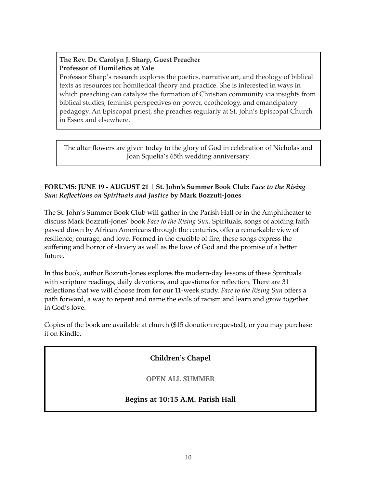### **The Rev. Dr. Carolyn J. Sharp, Guest Preacher Professor of Homiletics at Yale**

Professor Sharp's research explores the poetics, narrative art, and theology of biblical texts as resources for homiletical theory and practice. She is interested in ways in which preaching can catalyze the formation of Christian community via insights from biblical studies, feminist perspectives on power, ecotheology, and emancipatory pedagogy. An Episcopal priest, she preaches regularly at St. John's Episcopal Church in Essex and elsewhere.

The altar flowers are given today to the glory of God in celebration of Nicholas and Joan Squelia's 65th wedding anniversary.

### **FORUMS: JUNE 19 - AUGUST 21 | St. John's Summer Book Club:** *Face to the Rising Sun: Reflections on Spirituals and Justice* **by Mark Bozzuti-Jones**

The St. John's Summer Book Club will gather in the Parish Hall or in the Amphitheater to discuss Mark Bozzuti-Jones' book *Face to the Rising Sun*. Spirituals, songs of abiding faith passed down by African Americans through the centuries, offer a remarkable view of resilience, courage, and love. Formed in the crucible of fire, these songs express the suffering and horror of slavery as well as the love of God and the promise of a better future.

In this book, author Bozzuti-Jones explores the modern-day lessons of these Spirituals with scripture readings, daily devotions, and questions for reflection. There are 31 reflections that we will choose from for our 11-week study. *Face to the Rising Sun* offers a path forward, a way to repent and name the evils of racism and learn and grow together in God's love.

Copies of the book are available at church (\$15 donation requested), or you may purchase it on Kindle.

**Children's Chapel** 

**OPEN ALL SUMMER** 

### **Begins at 10:15 A.M. Parish Hall**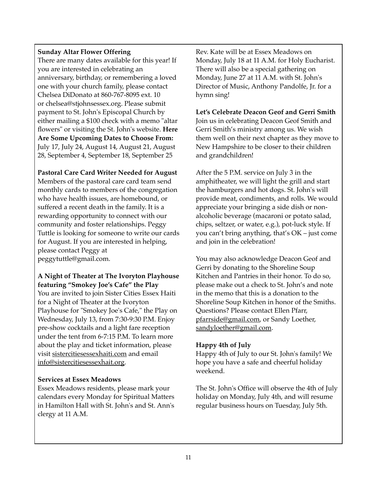### **Sunday Altar Flower Offering**

There are many dates available for this year! If you are interested in celebrating an anniversary, birthday, or remembering a loved one with your church family, please contact Chelsea DiDonato at 860-767-8095 ext. 10 or chelsea@stjohnsessex.org. Please submit payment to St. John's Episcopal Church by either mailing a \$100 check with a memo "altar flowers" or visiting the St. John's website. **Here Are Some Upcoming Dates to Choose From:**  July 17, July 24, August 14, August 21, August 28, September 4, September 18, September 25

**Pastoral Care Card Writer Needed for August**

Members of the pastoral care card team send monthly cards to members of the congregation who have health issues, are homebound, or suffered a recent death in the family. It is a rewarding opportunity to connect with our community and foster relationships. Peggy Tuttle is looking for someone to write our cards for August. If you are interested in helping, please contact Peggy at peggytuttle@gmail.com.

**A Night of Theater at The Ivoryton Playhouse featuring "Smokey Joe's Cafe" the Play** You are invited to join Sister Cities Essex Haiti

for a Night of Theater at the Ivoryton Playhouse for "Smokey Joe's Cafe," the Play on Wednesday, July 13, from 7:30-9:30 P.M. Enjoy pre-show cocktails and a light fare reception under the tent from 6-7:15 P.M. To learn more about the play and ticket information, please visit [sistercitiesessexhaiti.com](http://sistercitiesessexhaiti.com) and email [info@sistercitiesessexhait.org](mailto:info@sistercitiesessexhait.org).

#### **Services at Essex Meadows**

Essex Meadows residents, please mark your calendars every Monday for Spiritual Matters in Hamilton Hall with St. John's and St. Ann's clergy at 11 A.M.

Rev. Kate will be at Essex Meadows on Monday, July 18 at 11 A.M. for Holy Eucharist. There will also be a special gathering on Monday, June 27 at 11 A.M. with St. John's Director of Music, Anthony Pandolfe, Jr. for a hymn sing!

**Let's Celebrate Deacon Geof and Gerri Smith** Join us in celebrating Deacon Geof Smith and Gerri Smith's ministry among us. We wish them well on their next chapter as they move to New Hampshire to be closer to their children and grandchildren!

After the 5 P.M. service on July 3 in the amphitheater, we will light the grill and start the hamburgers and hot dogs. St. John's will provide meat, condiments, and rolls. We would appreciate your bringing a side dish or nonalcoholic beverage (macaroni or potato salad, chips, seltzer, or water, e.g.), pot-luck style. If you can't bring anything, that's OK – just come and join in the celebration!

You may also acknowledge Deacon Geof and Gerri by donating to the Shoreline Soup Kitchen and Pantries in their honor. To do so, please make out a check to St. John's and note in the memo that this is a donation to the Shoreline Soup Kitchen in honor of the Smiths. Questions? Please contact Ellen Pfarr, [pfarrside@gmail.com,](mailto:pfarrside@gmail.com) or Sandy Loether, [sandyloether@gmail.com](mailto:sandyloether@gmail.com).

#### **Happy 4th of July**

Happy 4th of July to our St. John's family! We hope you have a safe and cheerful holiday weekend.

The St. John's Office will observe the 4th of July holiday on Monday, July 4th, and will resume regular business hours on Tuesday, July 5th.